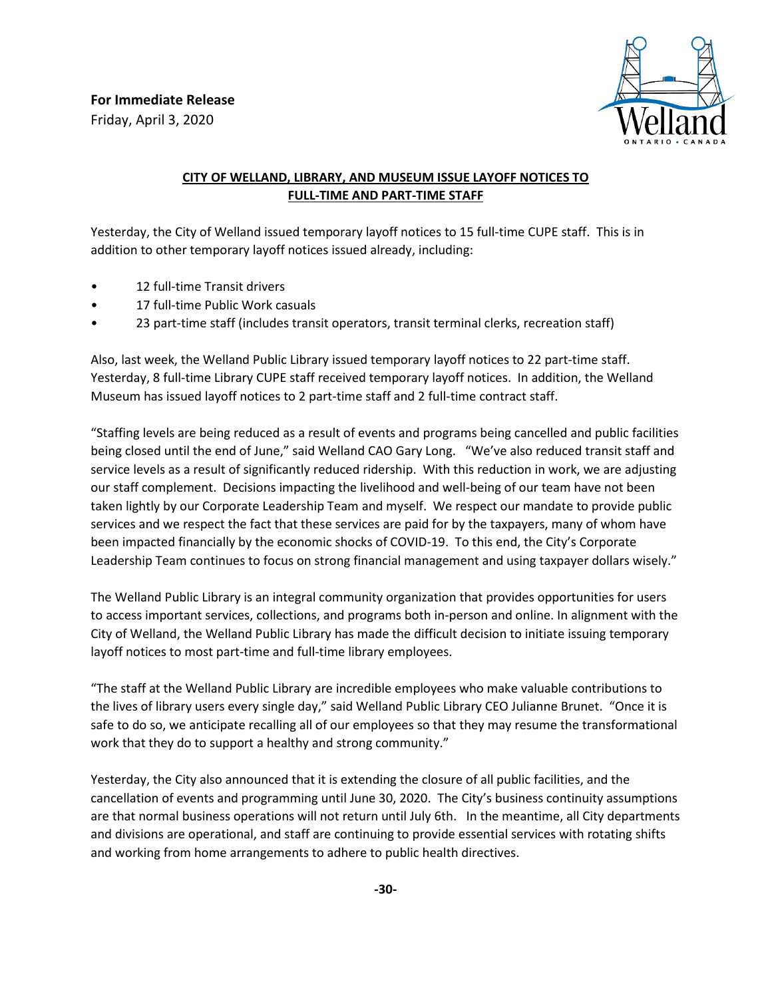

## **CITY OF WELLAND, LIBRARY, AND MUSEUM ISSUE LAYOFF NOTICES TO FULL-TIME AND PART-TIME STAFF**

Yesterday, the City of Welland issued temporary layoff notices to 15 full-time CUPE staff. This is in addition to other temporary layoff notices issued already, including:

- 12 full-time Transit drivers
- 17 full-time Public Work casuals
- 23 part-time staff (includes transit operators, transit terminal clerks, recreation staff)

Also, last week, the Welland Public Library issued temporary layoff notices to 22 part-time staff. Yesterday, 8 full-time Library CUPE staff received temporary layoff notices. In addition, the Welland Museum has issued layoff notices to 2 part-time staff and 2 full-time contract staff.

"Staffing levels are being reduced as a result of events and programs being cancelled and public facilities being closed until the end of June," said Welland CAO Gary Long. "We've also reduced transit staff and service levels as a result of significantly reduced ridership. With this reduction in work, we are adjusting our staff complement. Decisions impacting the livelihood and well-being of our team have not been taken lightly by our Corporate Leadership Team and myself. We respect our mandate to provide public services and we respect the fact that these services are paid for by the taxpayers, many of whom have been impacted financially by the economic shocks of COVID-19. To this end, the City's Corporate Leadership Team continues to focus on strong financial management and using taxpayer dollars wisely."

The Welland Public Library is an integral community organization that provides opportunities for users to access important services, collections, and programs both in-person and online. In alignment with the City of Welland, the Welland Public Library has made the difficult decision to initiate issuing temporary layoff notices to most part-time and full-time library employees.

"The staff at the Welland Public Library are incredible employees who make valuable contributions to the lives of library users every single day," said Welland Public Library CEO Julianne Brunet. "Once it is safe to do so, we anticipate recalling all of our employees so that they may resume the transformational work that they do to support a healthy and strong community."

Yesterday, the City also announced that it is extending the closure of all public facilities, and the cancellation of events and programming until June 30, 2020. The City's business continuity assumptions are that normal business operations will not return until July 6th. In the meantime, all City departments and divisions are operational, and staff are continuing to provide essential services with rotating shifts and working from home arrangements to adhere to public health directives.